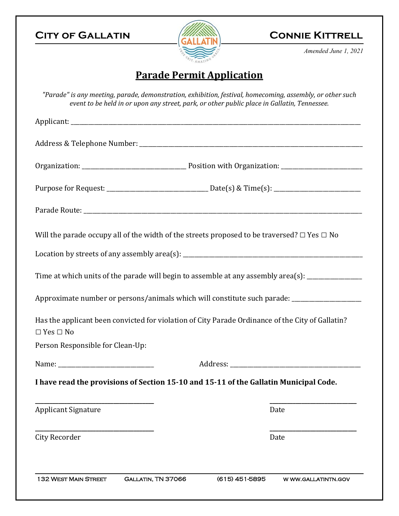## **CITY OF GALLATIN CONNIE KITTRELL**



*Amended June 1, 2021* 

# **Parade Permit Application**

*"Parade" is any meeting, parade, demonstration, exhibition, festival, homecoming, assembly, or other such event to be held in or upon any street, park, or other public place in Gallatin, Tennessee.*

|                                                          | Will the parade occupy all of the width of the streets proposed to be traversed? $\Box$ Yes $\Box$ No |
|----------------------------------------------------------|-------------------------------------------------------------------------------------------------------|
|                                                          |                                                                                                       |
|                                                          | Time at which units of the parade will begin to assemble at any assembly area(s): __________________  |
|                                                          |                                                                                                       |
|                                                          | Approximate number or persons/animals which will constitute such parade: __________________________   |
|                                                          | Has the applicant been convicted for violation of City Parade Ordinance of the City of Gallatin?      |
|                                                          |                                                                                                       |
| $\Box$ Yes $\Box$ No<br>Person Responsible for Clean-Up: |                                                                                                       |
|                                                          | I have read the provisions of Section 15-10 and 15-11 of the Gallatin Municipal Code.                 |
| <b>Applicant Signature</b>                               | Date                                                                                                  |